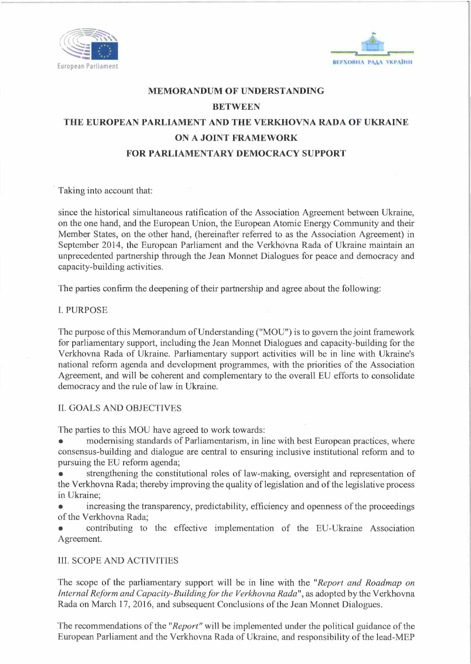



## **MEMORANDUM OF UNDERSTANDING BETWEEN THE EUROPEAN PARLIAMENT AND THE VERKHOVNA RADA OF UKRAINE ON A JOINT FRAMEWORK FOR PARLIAMENTARY DEMOCRACY SUPPORT**

Taking into account that:

since the historical simultaneous ratification of the Association Agreement between Ukraine, on the one hand, and the European Union, the European Atomic Energy Community and their Member States, on the other hand, (hereinafter referred to as the Association Agreement) in September 2014, the European Parliament and the Verkhovna Rada of Ukraine maintain an unprecedented partnership through the Jean Monnet Dialogues for peace and democracy and capacity-building activities.

The parties confirm the deepening of their partnership and agree about the following:

I. PURPOSE

The purpose of this Memorandum of Understanding ("MOU") is to govern the joint framework for parliamentary support, including the Jean Monnet Dialogues and capacity-building for the Verkhovna Rada of Ukraine. Parliamentary support activities will be in line with Ukraine's national reform agenda and development programmes, with the priorities of the Association Agreement, and will be coherent and complementary to the overall EU efforts to consolidate democracy and the rule of law in Ukraine.

## II. GOALS AND OBJECTIVES

The parties to this MOU have agreed to work towards:

modernising standards of Parliamentarism, in line with best European practices, where consensus-building and dialogue are central to ensuring inclusive institutional reform and to pursuing the EU reform agenda;

• strengthening the constitutional roles of law-making, oversight and representation of the Verkhovna Rada; thereby improving the quality of legislation and of the legislative process in Ukraine;

• increasing the transparency, predictability, efficiency and openness of the proceedings of the Verkhovna Rada;

• contributing to the effective implementation of the EU-Ukraine Association Agreement.

## III. SCOPE AND ACTIVITIES

The scope of the parliamentary support will be in line with the *"Report and Roadmap on Internal Reform and Capacity-Building for the Verkhovna Rada",* as adopted by the Verkhovna Rada on March 17, 2016, and subsequent Conclusions of the Jean Monnet Dialogues.

The recommendations of the *"Report"* will be implemented under the political guidance of the European Parliament and the Verkhovna Rada of Ukraine, and responsibility of the lead-MEP